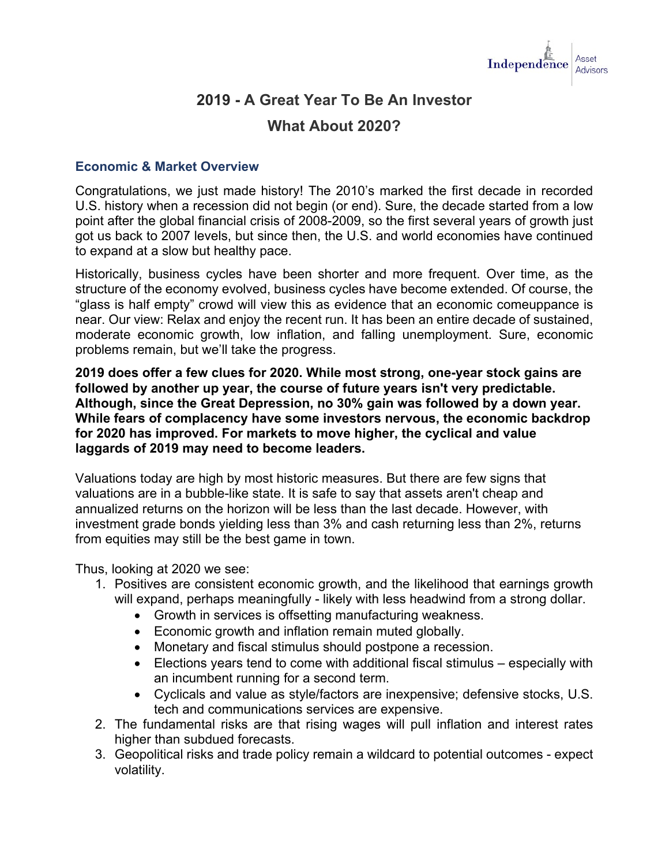

# **2019 - A Great Year To Be An Investor**

## **What About 2020?**

#### **Economic & Market Overview**

Congratulations, we just made history! The [2010's marked the first decade in recorded](https://t.e2ma.net/click/92jfid/lweo0fb/p7530u)  U.S. history when [a recession did not begin \(or end\).](https://t.e2ma.net/click/92jfid/lweo0fb/p7530u) Sure, the decade started from a low point after the global financial crisis of 2008-2009, so the first several years of growth just got us back to 2007 levels, but since then, the U.S. and world economies have continued to expand at a slow but healthy pace.

Historically, business cycles have been shorter and more frequent. Over time, as the structure of the economy evolved, business cycles have become extended. Of course, the "glass is half empty" crowd will view this as evidence that an economic comeuppance is near. Our view: Relax and enjoy the recent run. It has been an entire decade of sustained, moderate economic growth, low inflation, and falling unemployment. Sure, economic problems remain, but we'll take the progress.

**2019 does offer a few clues for 2020. While most strong, one-year stock gains are followed by another up year, the course of future years isn't very predictable. Although, since the Great Depression, no 30% gain was followed by a down year. While fears of complacency have some investors nervous, the economic backdrop for 2020 has improved. For markets to move higher, the cyclical and value laggards of 2019 may need to become leaders.** 

Valuations today are high by most historic measures. But there are few signs that valuations are in a bubble-like state. It is safe to say that assets aren't cheap and annualized returns on the horizon will be less than the last decade. However, with investment grade bonds yielding less than 3% and cash returning less than 2%, returns from equities may still be the best game in town.

Thus, looking at 2020 we see:

- 1. Positives are consistent economic growth, and the likelihood that earnings growth will expand, perhaps meaningfully - likely with less headwind from a strong dollar.
	- Growth in services is offsetting manufacturing weakness.
	- Economic growth and inflation remain muted globally.
	- Monetary and fiscal stimulus should postpone a recession.
	- Elections years tend to come with additional fiscal stimulus especially with an incumbent running for a second term.
	- Cyclicals and value as style/factors are inexpensive; defensive stocks, U.S. tech and communications services are expensive.
- 2. The fundamental risks are that rising wages will pull inflation and interest rates higher than subdued forecasts.
- 3. Geopolitical risks and trade policy remain a wildcard to potential outcomes expect volatility.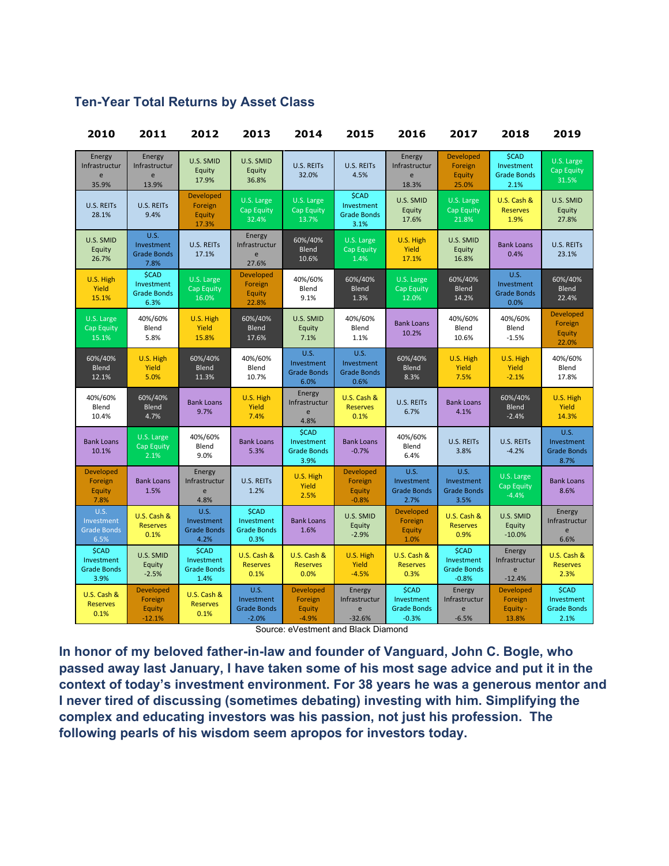| 2010                                                     | 2011                                              | 2012                                                     | 2013                                                       | 2014                                                     | 2015                                                     | 2016                                                        | 2017                                                        | 2018                                                     | 2019                                                     |
|----------------------------------------------------------|---------------------------------------------------|----------------------------------------------------------|------------------------------------------------------------|----------------------------------------------------------|----------------------------------------------------------|-------------------------------------------------------------|-------------------------------------------------------------|----------------------------------------------------------|----------------------------------------------------------|
| Energy<br>Infrastructur<br>e<br>35.9%                    | Energy<br>Infrastructur<br>e<br>13.9%             | U.S. SMID<br>Equity<br>17.9%                             | U.S. SMID<br>Equity<br>36.8%                               | <b>U.S. REITS</b><br>32.0%                               | <b>U.S. REITS</b><br>4.5%                                | Energy<br>Infrastructur<br>e<br>18.3%                       | <b>Developed</b><br>Foreign<br>Equity<br>25.0%              | <b>\$CAD</b><br>Investment<br><b>Grade Bonds</b><br>2.1% | U.S. Large<br><b>Cap Equity</b><br>31.5%                 |
| <b>U.S. REITS</b><br>28.1%                               | <b>U.S. REITS</b><br>9.4%                         | <b>Developed</b><br>Foreign<br>Equity<br>17.3%           | U.S. Large<br>Cap Equity<br>32.4%                          | U.S. Large<br><b>Cap Equity</b><br>13.7%                 | <b>\$CAD</b><br>Investment<br><b>Grade Bonds</b><br>3.1% | U.S. SMID<br>Equity<br>17.6%                                | U.S. Large<br><b>Cap Equity</b><br>21.8%                    | U.S. Cash &<br><b>Reserves</b><br>1.9%                   | U.S. SMID<br>Equity<br>27.8%                             |
| U.S. SMID<br>Equity<br>26.7%                             | U.S.<br>Investment<br><b>Grade Bonds</b><br>7.8%  | <b>U.S. REITS</b><br>17.1%                               | Energy<br>Infrastructur<br>$\mathsf e$<br>27.6%            | 60%/40%<br>Blend<br>10.6%                                | U.S. Large<br>Cap Equity<br>1.4%                         | U.S. High<br>Yield<br>17.1%                                 | U.S. SMID<br>Equity<br>16.8%                                | <b>Bank Loans</b><br>0.4%                                | <b>U.S. REITS</b><br>23.1%                               |
| U.S. High<br>Yield<br>15.1%                              | \$CAD<br>Investment<br><b>Grade Bonds</b><br>6.3% | U.S. Large<br><b>Cap Equity</b><br>16.0%                 | <b>Developed</b><br>Foreign<br>Equity<br>22.8%             | 40%/60%<br>Blend<br>9.1%                                 | 60%/40%<br>Blend<br>1.3%                                 | U.S. Large<br><b>Cap Equity</b><br>12.0%                    | 60%/40%<br><b>Blend</b><br>14.2%                            | <b>U.S.</b><br>Investment<br><b>Grade Bonds</b><br>0.0%  | 60%/40%<br>Blend<br>22.4%                                |
| U.S. Large<br><b>Cap Equity</b><br>15.1%                 | 40%/60%<br>Blend<br>5.8%                          | U.S. High<br>Yield<br>15.8%                              | 60%/40%<br><b>Blend</b><br>17.6%                           | U.S. SMID<br>Equity<br>7.1%                              | 40%/60%<br>Blend<br>1.1%                                 | <b>Bank Loans</b><br>10.2%                                  | 40%/60%<br>Blend<br>10.6%                                   | 40%/60%<br>Blend<br>$-1.5%$                              | <b>Developed</b><br>Foreign<br>Equity<br>22.0%           |
| 60%/40%<br><b>Blend</b><br>12.1%                         | U.S. High<br>Yield<br>5.0%                        | 60%/40%<br><b>Blend</b><br>11.3%                         | 40%/60%<br>Blend<br>10.7%                                  | U.S.<br>Investment<br><b>Grade Bonds</b><br>6.0%         | <b>U.S.</b><br>Investment<br><b>Grade Bonds</b><br>0.6%  | 60%/40%<br><b>Blend</b><br>8.3%                             | U.S. High<br>Yield<br>7.5%                                  | U.S. High<br>Yield<br>$-2.1%$                            | 40%/60%<br>Blend<br>17.8%                                |
| 40%/60%<br>Blend<br>10.4%                                | 60%/40%<br>Blend<br>4.7%                          | <b>Bank Loans</b><br>9.7%                                | U.S. High<br>Yield<br>7.4%                                 | Energy<br>Infrastructur<br>e<br>4.8%                     | U.S. Cash &<br><b>Reserves</b><br>0.1%                   | U.S. REITS<br>6.7%                                          | <b>Bank Loans</b><br>4.1%                                   | 60%/40%<br>Blend<br>$-2.4%$                              | U.S. High<br>Yield<br>14.3%                              |
| <b>Bank Loans</b><br>10.1%                               | U.S. Large<br><b>Cap Equity</b><br>2.1%           | 40%/60%<br>Blend<br>9.0%                                 | <b>Bank Loans</b><br>5.3%                                  | <b>\$CAD</b><br>Investment<br><b>Grade Bonds</b><br>3.9% | <b>Bank Loans</b><br>$-0.7%$                             | 40%/60%<br>Blend<br>6.4%                                    | U.S. REITS<br>3.8%                                          | U.S. REITS<br>$-4.2%$                                    | <b>U.S.</b><br>Investment<br><b>Grade Bonds</b><br>8.7%  |
| <b>Developed</b><br>Foreign<br>Equity<br>7.8%            | <b>Bank Loans</b><br>1.5%                         | Energy<br>Infrastructur<br>e<br>4.8%                     | U.S. REITS<br>1.2%                                         | U.S. High<br>Yield<br>2.5%                               | <b>Developed</b><br>Foreign<br>Equity<br>$-0.8%$         | <b>U.S.</b><br>Investment<br><b>Grade Bonds</b><br>2.7%     | <b>U.S.</b><br>Investment<br><b>Grade Bonds</b><br>3.5%     | U.S. Large<br><b>Cap Equity</b><br>$-4.4%$               | <b>Bank Loans</b><br>8.6%                                |
| <b>U.S.</b><br>Investment<br><b>Grade Bonds</b><br>6.5%  | U.S. Cash &<br><b>Reserves</b><br>0.1%            | <b>U.S.</b><br>Investment<br><b>Grade Bonds</b><br>4.2%  | <b>\$CAD</b><br>Investment<br><b>Grade Bonds</b><br>0.3%   | <b>Bank Loans</b><br>1.6%                                | U.S. SMID<br>Equity<br>$-2.9%$                           | <b>Developed</b><br>Foreign<br>Equity<br>1.0%               | U.S. Cash &<br><b>Reserves</b><br>0.9%                      | U.S. SMID<br>Equity<br>$-10.0%$                          | Energy<br>Infrastructur<br>e<br>6.6%                     |
| <b>\$CAD</b><br>Investment<br><b>Grade Bonds</b><br>3.9% | U.S. SMID<br>Equity<br>$-2.5%$                    | <b>\$CAD</b><br>Investment<br><b>Grade Bonds</b><br>1.4% | U.S. Cash &<br><b>Reserves</b><br>0.1%                     | U.S. Cash &<br><b>Reserves</b><br>0.0%                   | U.S. High<br>Yield<br>$-4.5%$                            | U.S. Cash &<br><b>Reserves</b><br>0.3%                      | <b>\$CAD</b><br>Investment<br><b>Grade Bonds</b><br>$-0.8%$ | Energy<br>Infrastructur<br>e<br>$-12.4%$                 | U.S. Cash &<br><b>Reserves</b><br>2.3%                   |
| U.S. Cash &<br><b>Reserves</b><br>0.1%                   | <b>Developed</b><br>Foreign<br>Equity<br>$-12.1%$ | U.S. Cash &<br><b>Reserves</b><br>0.1%                   | <b>U.S.</b><br>Investment<br><b>Grade Bonds</b><br>$-2.0%$ | <b>Developed</b><br>Foreign<br>Equity<br>$-4.9%$         | Energy<br>Infrastructur<br>e<br>$-32.6%$                 | <b>\$CAD</b><br>Investment<br><b>Grade Bonds</b><br>$-0.3%$ | Energy<br>Infrastructur<br>e<br>$-6.5%$                     | <b>Developed</b><br>Foreign<br>Equity -<br>13.8%         | <b>\$CAD</b><br>Investment<br><b>Grade Bonds</b><br>2.1% |

#### **Ten-Year Total Returns by Asset Class**

Source: eVestment and Black Diamond

**In honor of my beloved father-in-law and founder of Vanguard, John C. Bogle, who passed away last January, I have taken some of his most sage advice and put it in the context of today's investment environment. For 38 years he was a generous mentor and I never tired of discussing (sometimes debating) investing with him. Simplifying the complex and educating investors was his passion, not just his profession. The following pearls of his wisdom seem apropos for investors today.**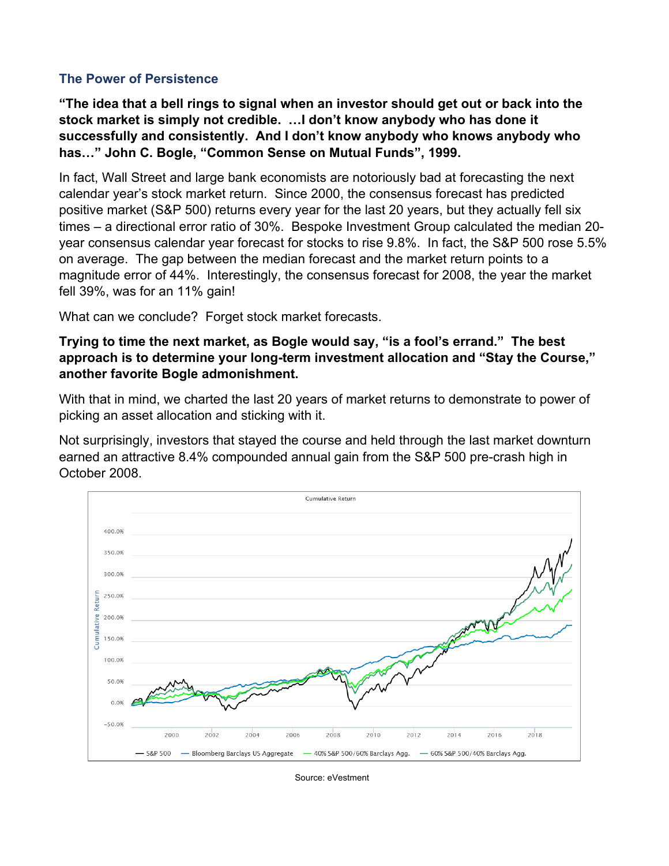#### **The Power of Persistence**

**"The idea that a bell rings to signal when an investor should get out or back into the stock market is simply not credible. …I don't know anybody who has done it successfully and consistently. And I don't know anybody who knows anybody who has…" John C. Bogle, "Common Sense on Mutual Funds", 1999.**

In fact, Wall Street and large bank economists are notoriously bad at forecasting the next calendar year's stock market return. Since 2000, the consensus forecast has predicted positive market (S&P 500) returns every year for the last 20 years, but they actually fell six times – a directional error ratio of 30%. Bespoke Investment Group calculated the median 20 year consensus calendar year forecast for stocks to rise 9.8%. In fact, the S&P 500 rose 5.5% on average. The gap between the median forecast and the market return points to a magnitude error of 44%. Interestingly, the consensus forecast for 2008, the year the market fell 39%, was for an 11% gain!

What can we conclude? Forget stock market forecasts.

**Trying to time the next market, as Bogle would say, "is a fool's errand." The best approach is to determine your long-term investment allocation and "Stay the Course," another favorite Bogle admonishment.**

With that in mind, we charted the last 20 years of market returns to demonstrate to power of picking an asset allocation and sticking with it.

Not surprisingly, investors that stayed the course and held through the last market downturn earned an attractive 8.4% compounded annual gain from the S&P 500 pre-crash high in October 2008.



Source: eVestment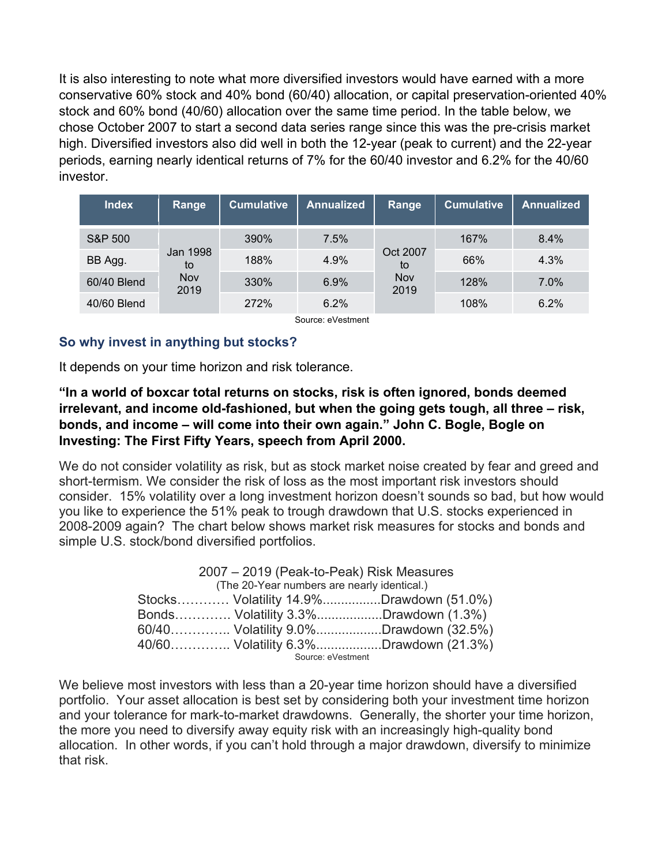It is also interesting to note what more diversified investors would have earned with a more conservative 60% stock and 40% bond (60/40) allocation, or capital preservation-oriented 40% stock and 60% bond (40/60) allocation over the same time period. In the table below, we chose October 2007 to start a second data series range since this was the pre-crisis market high. Diversified investors also did well in both the 12-year (peak to current) and the 22-year periods, earning nearly identical returns of 7% for the 60/40 investor and 6.2% for the 40/60 investor.

| <b>Index</b> | Range                         | <b>Cumulative</b> | <b>Annualized</b> | Range                         | <b>Cumulative</b> | <b>Annualized</b> |
|--------------|-------------------------------|-------------------|-------------------|-------------------------------|-------------------|-------------------|
| S&P 500      | Jan 1998<br>to<br>Nov<br>2019 | 390%              | 7.5%              | Oct 2007<br>to<br>Nov<br>2019 | 167%              | 8.4%              |
| BB Agg.      |                               | 188%              | 4.9%              |                               | 66%               | 4.3%              |
| 60/40 Blend  |                               | 330%              | 6.9%              |                               | 128%              | 7.0%              |
| 40/60 Blend  |                               | 272%              | 6.2%              |                               | 108%              | 6.2%              |

Source: eVestment

### **So why invest in anything but stocks?**

It depends on your time horizon and risk tolerance.

**"In a world of boxcar total returns on stocks, risk is often ignored, bonds deemed irrelevant, and income old-fashioned, but when the going gets tough, all three – risk, bonds, and income – will come into their own again." John C. Bogle, Bogle on Investing: The First Fifty Years, speech from April 2000.**

We do not consider volatility as risk, but as stock market noise created by fear and greed and short-termism. We consider the risk of loss as the most important risk investors should consider. 15% volatility over a long investment horizon doesn't sounds so bad, but how would you like to experience the 51% peak to trough drawdown that U.S. stocks experienced in 2008-2009 again? The chart below shows market risk measures for stocks and bonds and simple U.S. stock/bond diversified portfolios.

| 2007 - 2019 (Peak-to-Peak) Risk Measures    |                   |                                         |  |  |
|---------------------------------------------|-------------------|-----------------------------------------|--|--|
| (The 20-Year numbers are nearly identical.) |                   |                                         |  |  |
|                                             |                   | Stocks Volatility 14.9%Drawdown (51.0%) |  |  |
|                                             |                   | Bonds Volatility 3.3%Drawdown (1.3%)    |  |  |
|                                             |                   | 60/40 Volatility 9.0%Drawdown (32.5%)   |  |  |
|                                             |                   | 40/60 Volatility 6.3%Drawdown (21.3%)   |  |  |
|                                             | Source: eVestment |                                         |  |  |

We believe most investors with less than a 20-year time horizon should have a diversified portfolio. Your asset allocation is best set by considering both your investment time horizon and your tolerance for mark-to-market drawdowns. Generally, the shorter your time horizon, the more you need to diversify away equity risk with an increasingly high-quality bond allocation. In other words, if you can't hold through a major drawdown, diversify to minimize that risk.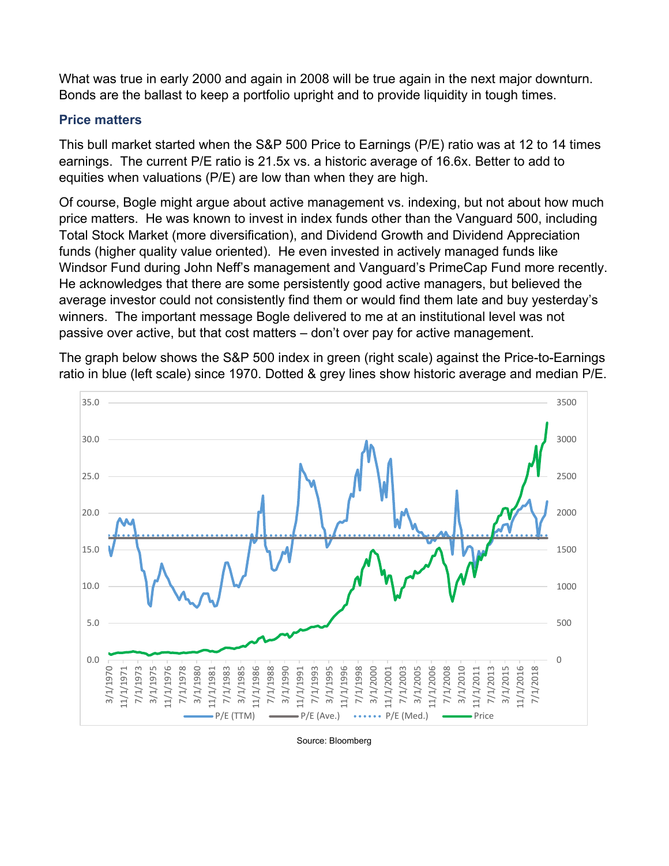What was true in early 2000 and again in 2008 will be true again in the next major downturn. Bonds are the ballast to keep a portfolio upright and to provide liquidity in tough times.

### **Price matters**

This bull market started when the S&P 500 Price to Earnings (P/E) ratio was at 12 to 14 times earnings. The current P/E ratio is 21.5x vs. a historic average of 16.6x. Better to add to equities when valuations (P/E) are low than when they are high.

Of course, Bogle might argue about active management vs. indexing, but not about how much price matters. He was known to invest in index funds other than the Vanguard 500, including Total Stock Market (more diversification), and Dividend Growth and Dividend Appreciation funds (higher quality value oriented). He even invested in actively managed funds like Windsor Fund during John Neff's management and Vanguard's PrimeCap Fund more recently. He acknowledges that there are some persistently good active managers, but believed the average investor could not consistently find them or would find them late and buy yesterday's winners. The important message Bogle delivered to me at an institutional level was not passive over active, but that cost matters – don't over pay for active management.

The graph below shows the S&P 500 index in green (right scale) against the Price-to-Earnings ratio in blue (left scale) since 1970. Dotted & grey lines show historic average and median P/E.



Source: Bloomberg